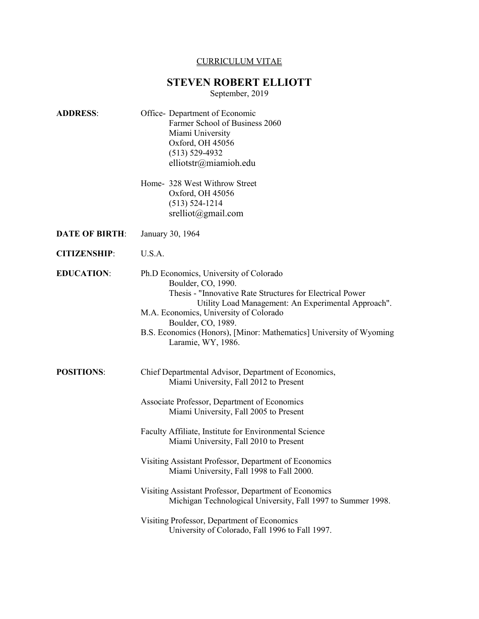# CURRICULUM VITAE

# **STEVEN ROBERT ELLIOTT**

September, 2019

| <b>ADDRESS:</b>       | Office-Department of Economic<br>Farmer School of Business 2060<br>Miami University<br>Oxford, OH 45056<br>$(513) 529 - 4932$<br>elliotstr@miamioh.edu                                                                                                                                                                                                                                                                                                                                                                                                                                                                        |
|-----------------------|-------------------------------------------------------------------------------------------------------------------------------------------------------------------------------------------------------------------------------------------------------------------------------------------------------------------------------------------------------------------------------------------------------------------------------------------------------------------------------------------------------------------------------------------------------------------------------------------------------------------------------|
|                       | Home- 328 West Withrow Street<br>Oxford, OH 45056<br>$(513) 524 - 1214$<br>$s$ relliot@gmail.com                                                                                                                                                                                                                                                                                                                                                                                                                                                                                                                              |
| <b>DATE OF BIRTH:</b> | January 30, 1964                                                                                                                                                                                                                                                                                                                                                                                                                                                                                                                                                                                                              |
| <b>CITIZENSHIP:</b>   | U.S.A.                                                                                                                                                                                                                                                                                                                                                                                                                                                                                                                                                                                                                        |
| <b>EDUCATION:</b>     | Ph.D Economics, University of Colorado<br>Boulder, CO, 1990.<br>Thesis - "Innovative Rate Structures for Electrical Power<br>Utility Load Management: An Experimental Approach".<br>M.A. Economics, University of Colorado<br>Boulder, CO, 1989.<br>B.S. Economics (Honors), [Minor: Mathematics] University of Wyoming<br>Laramie, WY, 1986.                                                                                                                                                                                                                                                                                 |
| <b>POSITIONS:</b>     | Chief Departmental Advisor, Department of Economics,<br>Miami University, Fall 2012 to Present<br>Associate Professor, Department of Economics<br>Miami University, Fall 2005 to Present<br>Faculty Affiliate, Institute for Environmental Science<br>Miami University, Fall 2010 to Present<br>Visiting Assistant Professor, Department of Economics<br>Miami University, Fall 1998 to Fall 2000.<br>Visiting Assistant Professor, Department of Economics<br>Michigan Technological University, Fall 1997 to Summer 1998.<br>Visiting Professor, Department of Economics<br>University of Colorado, Fall 1996 to Fall 1997. |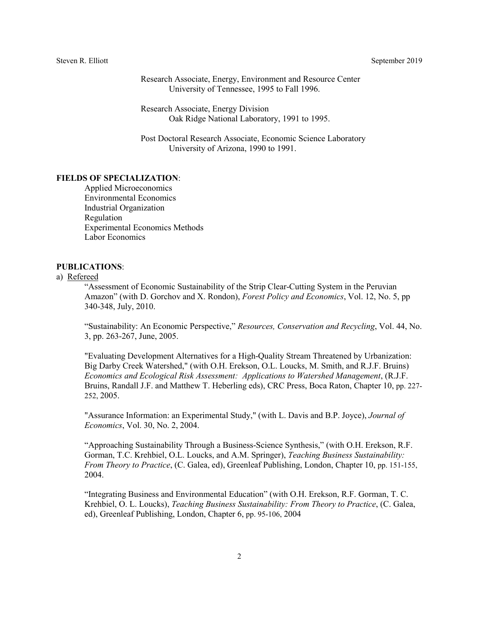Research Associate, Energy, Environment and Resource Center University of Tennessee, 1995 to Fall 1996.

Research Associate, Energy Division Oak Ridge National Laboratory, 1991 to 1995.

Post Doctoral Research Associate, Economic Science Laboratory University of Arizona, 1990 to 1991.

### **FIELDS OF SPECIALIZATION**:

Applied Microeconomics Environmental Economics Industrial Organization Regulation Experimental Economics Methods Labor Economics

# **PUBLICATIONS**:

#### a) Refereed

"Assessment of Economic Sustainability of the Strip Clear-Cutting System in the Peruvian Amazon" (with D. Gorchov and X. Rondon), *Forest Policy and Economics*, Vol. 12, No. 5, pp 340-348, July, 2010.

"Sustainability: An Economic Perspective," *Resources, Conservation and Recycling*, Vol. 44, No. 3, pp. 263-267, June, 2005.

"Evaluating Development Alternatives for a High-Quality Stream Threatened by Urbanization: Big Darby Creek Watershed," (with O.H. Erekson, O.L. Loucks, M. Smith, and R.J.F. Bruins) *Economics and Ecological Risk Assessment: Applications to Watershed Management*, (R.J.F. Bruins, Randall J.F. and Matthew T. Heberling eds), CRC Press, Boca Raton, Chapter 10, pp. 227- 252, 2005.

"Assurance Information: an Experimental Study," (with L. Davis and B.P. Joyce), *Journal of Economics*, Vol. 30, No. 2, 2004.

"Approaching Sustainability Through a Business-Science Synthesis," (with O.H. Erekson, R.F. Gorman, T.C. Krehbiel, O.L. Loucks, and A.M. Springer), *Teaching Business Sustainability: From Theory to Practice*, (C. Galea, ed), Greenleaf Publishing, London, Chapter 10, pp. 151-155, 2004.

"Integrating Business and Environmental Education" (with O.H. Erekson, R.F. Gorman, T. C. Krehbiel, O. L. Loucks), *Teaching Business Sustainability: From Theory to Practice*, (C. Galea, ed), Greenleaf Publishing, London, Chapter 6, pp. 95-106, 2004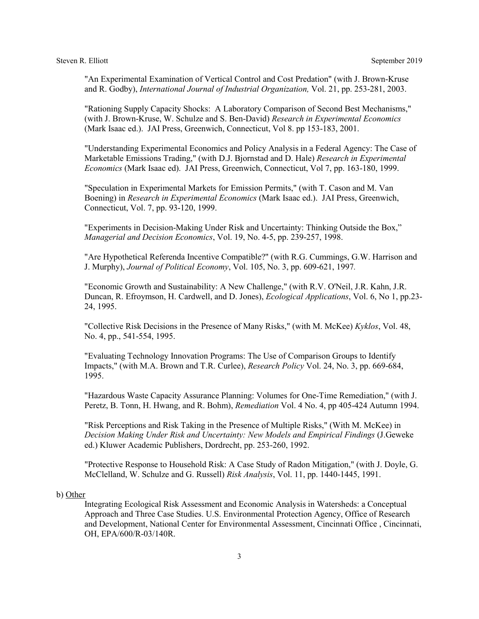"An Experimental Examination of Vertical Control and Cost Predation" (with J. Brown-Kruse and R. Godby), *International Journal of Industrial Organization,* Vol. 21, pp. 253-281, 2003.

"Rationing Supply Capacity Shocks: A Laboratory Comparison of Second Best Mechanisms," (with J. Brown-Kruse, W. Schulze and S. Ben-David) *Research in Experimental Economics* (Mark Isaac ed.). JAI Press, Greenwich, Connecticut, Vol 8. pp 153-183, 2001.

"Understanding Experimental Economics and Policy Analysis in a Federal Agency: The Case of Marketable Emissions Trading," (with D.J. Bjornstad and D. Hale) *Research in Experimental Economics* (Mark Isaac ed). JAI Press, Greenwich, Connecticut, Vol 7, pp. 163-180, 1999.

"Speculation in Experimental Markets for Emission Permits," (with T. Cason and M. Van Boening) in *Research in Experimental Economics* (Mark Isaac ed.). JAI Press, Greenwich, Connecticut, Vol. 7, pp. 93-120, 1999.

"Experiments in Decision-Making Under Risk and Uncertainty: Thinking Outside the Box," *Managerial and Decision Economics*, Vol. 19, No. 4-5, pp. 239-257, 1998.

"Are Hypothetical Referenda Incentive Compatible?" (with R.G. Cummings, G.W. Harrison and J. Murphy), *Journal of Political Economy*, Vol. 105, No. 3, pp. 609-621, 1997*.*

"Economic Growth and Sustainability: A New Challenge," (with R.V. O'Neil, J.R. Kahn, J.R. Duncan, R. Efroymson, H. Cardwell, and D. Jones), *Ecological Applications*, Vol. 6, No 1, pp.23- 24, 1995.

"Collective Risk Decisions in the Presence of Many Risks," (with M. McKee) *Kyklos*, Vol. 48, No. 4, pp., 541-554, 1995.

"Evaluating Technology Innovation Programs: The Use of Comparison Groups to Identify Impacts," (with M.A. Brown and T.R. Curlee), *Research Policy* Vol. 24, No. 3, pp. 669-684, 1995.

"Hazardous Waste Capacity Assurance Planning: Volumes for One-Time Remediation," (with J. Peretz, B. Tonn, H. Hwang, and R. Bohm), *Remediation* Vol. 4 No. 4, pp 405-424 Autumn 1994.

"Risk Perceptions and Risk Taking in the Presence of Multiple Risks," (With M. McKee) in *Decision Making Under Risk and Uncertainty: New Models and Empirical Findings* (J.Geweke ed.) Kluwer Academic Publishers, Dordrecht, pp. 253-260, 1992.

"Protective Response to Household Risk: A Case Study of Radon Mitigation," (with J. Doyle, G. McClelland, W. Schulze and G. Russell) *Risk Analysis*, Vol. 11, pp. 1440-1445, 1991.

### b) Other

Integrating Ecological Risk Assessment and Economic Analysis in Watersheds: a Conceptual Approach and Three Case Studies. U.S. Environmental Protection Agency, Office of Research and Development, National Center for Environmental Assessment, Cincinnati Office , Cincinnati, OH, EPA/600/R-03/140R.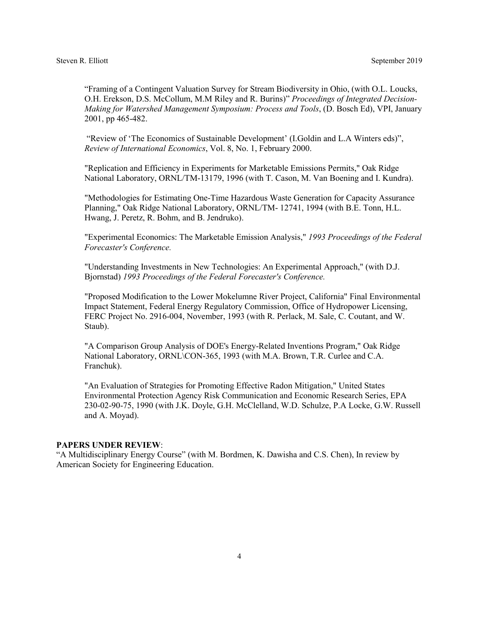"Framing of a Contingent Valuation Survey for Stream Biodiversity in Ohio, (with O.L. Loucks, O.H. Erekson, D.S. McCollum, M.M Riley and R. Burins)" *Proceedings of Integrated Decision-Making for Watershed Management Symposium: Process and Tools*, (D. Bosch Ed), VPI, January 2001, pp 465-482.

"Review of 'The Economics of Sustainable Development' (I.Goldin and L.A Winters eds)", *Review of International Economics*, Vol. 8, No. 1, February 2000.

"Replication and Efficiency in Experiments for Marketable Emissions Permits," Oak Ridge National Laboratory, ORNL/TM-13179, 1996 (with T. Cason, M. Van Boening and I. Kundra).

"Methodologies for Estimating One-Time Hazardous Waste Generation for Capacity Assurance Planning," Oak Ridge National Laboratory, ORNL/TM- 12741, 1994 (with B.E. Tonn, H.L. Hwang, J. Peretz, R. Bohm, and B. Jendruko).

"Experimental Economics: The Marketable Emission Analysis," *1993 Proceedings of the Federal Forecaster's Conference.*

"Understanding Investments in New Technologies: An Experimental Approach," (with D.J. Bjornstad) *1993 Proceedings of the Federal Forecaster's Conference.*

"Proposed Modification to the Lower Mokelumne River Project, California" Final Environmental Impact Statement, Federal Energy Regulatory Commission, Office of Hydropower Licensing, FERC Project No. 2916-004, November, 1993 (with R. Perlack, M. Sale, C. Coutant, and W. Staub).

"A Comparison Group Analysis of DOE's Energy-Related Inventions Program," Oak Ridge National Laboratory, ORNL\CON-365, 1993 (with M.A. Brown, T.R. Curlee and C.A. Franchuk).

"An Evaluation of Strategies for Promoting Effective Radon Mitigation," United States Environmental Protection Agency Risk Communication and Economic Research Series, EPA 230-02-90-75, 1990 (with J.K. Doyle, G.H. McClelland, W.D. Schulze, P.A Locke, G.W. Russell and A. Moyad).

#### **PAPERS UNDER REVIEW**:

"A Multidisciplinary Energy Course" (with M. Bordmen, K. Dawisha and C.S. Chen), In review by American Society for Engineering Education.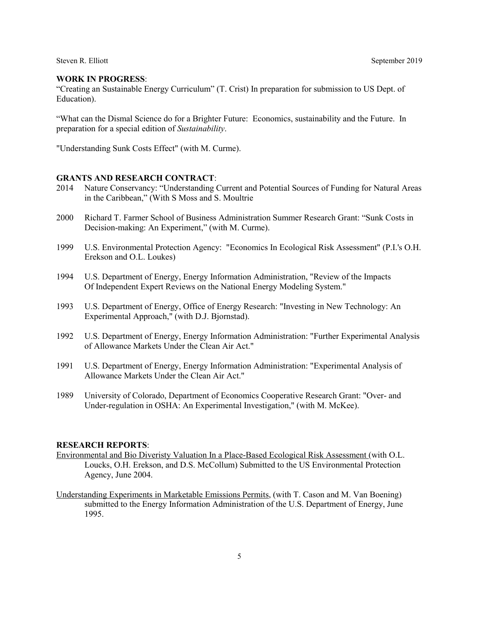### **WORK IN PROGRESS**:

"Creating an Sustainable Energy Curriculum" (T. Crist) In preparation for submission to US Dept. of Education).

"What can the Dismal Science do for a Brighter Future: Economics, sustainability and the Future. In preparation for a special edition of *Sustainability*.

"Understanding Sunk Costs Effect" (with M. Curme).

# **GRANTS AND RESEARCH CONTRACT**:

- 2014 Nature Conservancy: "Understanding Current and Potential Sources of Funding for Natural Areas in the Caribbean," (With S Moss and S. Moultrie
- 2000 Richard T. Farmer School of Business Administration Summer Research Grant: "Sunk Costs in Decision-making: An Experiment," (with M. Curme).
- 1999 U.S. Environmental Protection Agency: "Economics In Ecological Risk Assessment" (P.I.'s O.H. Erekson and O.L. Loukes)
- 1994 U.S. Department of Energy, Energy Information Administration, "Review of the Impacts Of Independent Expert Reviews on the National Energy Modeling System."
- 1993 U.S. Department of Energy, Office of Energy Research: "Investing in New Technology: An Experimental Approach," (with D.J. Bjornstad).
- 1992 U.S. Department of Energy, Energy Information Administration: "Further Experimental Analysis of Allowance Markets Under the Clean Air Act."
- 1991 U.S. Department of Energy, Energy Information Administration: "Experimental Analysis of Allowance Markets Under the Clean Air Act."
- 1989 University of Colorado, Department of Economics Cooperative Research Grant: "Over- and Under-regulation in OSHA: An Experimental Investigation," (with M. McKee).

#### **RESEARCH REPORTS**:

- Environmental and Bio Diveristy Valuation In a Place-Based Ecological Risk Assessment (with O.L. Loucks, O.H. Erekson, and D.S. McCollum) Submitted to the US Environmental Protection Agency, June 2004.
- Understanding Experiments in Marketable Emissions Permits, (with T. Cason and M. Van Boening) submitted to the Energy Information Administration of the U.S. Department of Energy, June 1995.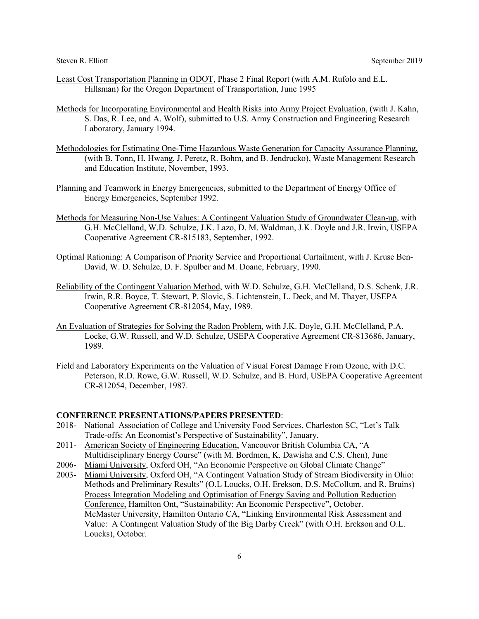- Least Cost Transportation Planning in ODOT, Phase 2 Final Report (with A.M. Rufolo and E.L. Hillsman) for the Oregon Department of Transportation, June 1995
- Methods for Incorporating Environmental and Health Risks into Army Project Evaluation, (with J. Kahn, S. Das, R. Lee, and A. Wolf), submitted to U.S. Army Construction and Engineering Research Laboratory, January 1994.
- Methodologies for Estimating One-Time Hazardous Waste Generation for Capacity Assurance Planning, (with B. Tonn, H. Hwang, J. Peretz, R. Bohm, and B. Jendrucko), Waste Management Research and Education Institute, November, 1993.
- Planning and Teamwork in Energy Emergencies, submitted to the Department of Energy Office of Energy Emergencies, September 1992.
- Methods for Measuring Non-Use Values: A Contingent Valuation Study of Groundwater Clean-up, with G.H. McClelland, W.D. Schulze, J.K. Lazo, D. M. Waldman, J.K. Doyle and J.R. Irwin, USEPA Cooperative Agreement CR-815183, September, 1992.
- Optimal Rationing: A Comparison of Priority Service and Proportional Curtailment, with J. Kruse Ben-David, W. D. Schulze, D. F. Spulber and M. Doane, February, 1990.
- Reliability of the Contingent Valuation Method, with W.D. Schulze, G.H. McClelland, D.S. Schenk, J.R. Irwin, R.R. Boyce, T. Stewart, P. Slovic, S. Lichtenstein, L. Deck, and M. Thayer, USEPA Cooperative Agreement CR-812054, May, 1989.
- An Evaluation of Strategies for Solving the Radon Problem, with J.K. Doyle, G.H. McClelland, P.A. Locke, G.W. Russell, and W.D. Schulze, USEPA Cooperative Agreement CR-813686, January, 1989.
- Field and Laboratory Experiments on the Valuation of Visual Forest Damage From Ozone, with D.C. Peterson, R.D. Rowe, G.W. Russell, W.D. Schulze, and B. Hurd, USEPA Cooperative Agreement CR-812054, December, 1987.

#### **CONFERENCE PRESENTATIONS/PAPERS PRESENTED**:

- 2018- National Association of College and University Food Services, Charleston SC, "Let's Talk Trade-offs: An Economist's Perspective of Sustainability", January.
- 2011- American Society of Engineering Education, Vancouvor British Columbia CA, "A Multidisciplinary Energy Course" (with M. Bordmen, K. Dawisha and C.S. Chen), June
- 2006- Miami University, Oxford OH, "An Economic Perspective on Global Climate Change"
- 2003- Miami University, Oxford OH, "A Contingent Valuation Study of Stream Biodiversity in Ohio: Methods and Preliminary Results" (O.L Loucks, O.H. Erekson, D.S. McCollum, and R. Bruins) Process Integration Modeling and Optimisation of Energy Saving and Pollution Reduction Conference, Hamilton Ont, "Sustainability: An Economic Perspective", October. McMaster University, Hamilton Ontario CA, "Linking Environmental Risk Assessment and Value: A Contingent Valuation Study of the Big Darby Creek" (with O.H. Erekson and O.L. Loucks), October.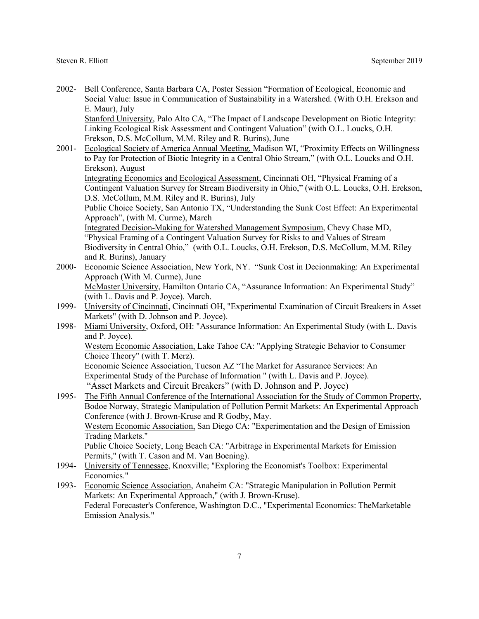2002- Bell Conference, Santa Barbara CA, Poster Session "Formation of Ecological, Economic and Social Value: Issue in Communication of Sustainability in a Watershed. (With O.H. Erekson and E. Maur), July Stanford University, Palo Alto CA, "The Impact of Landscape Development on Biotic Integrity:

Linking Ecological Risk Assessment and Contingent Valuation" (with O.L. Loucks, O.H. Erekson, D.S. McCollum, M.M. Riley and R. Burins), June

- 2001- Ecological Society of America Annual Meeting, Madison WI, "Proximity Effects on Willingness to Pay for Protection of Biotic Integrity in a Central Ohio Stream," (with O.L. Loucks and O.H. Erekson), August Integrating Economics and Ecological Assessment, Cincinnati OH, "Physical Framing of a Contingent Valuation Survey for Stream Biodiversity in Ohio," (with O.L. Loucks, O.H. Erekson, D.S. McCollum, M.M. Riley and R. Burins), July Public Choice Society, San Antonio TX, "Understanding the Sunk Cost Effect: An Experimental Approach", (with M. Curme), March Integrated Decision-Making for Watershed Management Symposium, Chevy Chase MD, "Physical Framing of a Contingent Valuation Survey for Risks to and Values of Stream Biodiversity in Central Ohio," (with O.L. Loucks, O.H. Erekson, D.S. McCollum, M.M. Riley and R. Burins), January 2000- Economic Science Association, New York, NY. "Sunk Cost in Decionmaking: An Experimental Approach (With M. Curme), June
- McMaster University, Hamilton Ontario CA, "Assurance Information: An Experimental Study" (with L. Davis and P. Joyce). March.
- 1999- University of Cincinnati, Cincinnati OH, "Experimental Examination of Circuit Breakers in Asset Markets" (with D. Johnson and P. Joyce).
- 1998- Miami University, Oxford, OH: "Assurance Information: An Experimental Study (with L. Davis and P. Joyce).

Western Economic Association, Lake Tahoe CA: "Applying Strategic Behavior to Consumer Choice Theory" (with T. Merz).

Economic Science Association, Tucson AZ "The Market for Assurance Services: An Experimental Study of the Purchase of Information " (with L. Davis and P. Joyce). "Asset Markets and Circuit Breakers" (with D. Johnson and P. Joyce)

- 1995- The Fifth Annual Conference of the International Association for the Study of Common Property, Bodoe Norway, Strategic Manipulation of Pollution Permit Markets: An Experimental Approach Conference (with J. Brown-Kruse and R Godby, May. Western Economic Association, San Diego CA: "Experimentation and the Design of Emission Trading Markets." Public Choice Society, Long Beach CA: "Arbitrage in Experimental Markets for Emission Permits," (with T. Cason and M. Van Boening).
- 1994- University of Tennessee, Knoxville; "Exploring the Economist's Toolbox: Experimental Economics."
- 1993- Economic Science Association, Anaheim CA: "Strategic Manipulation in Pollution Permit Markets: An Experimental Approach," (with J. Brown-Kruse). Federal Forecaster's Conference, Washington D.C., "Experimental Economics: TheMarketable Emission Analysis."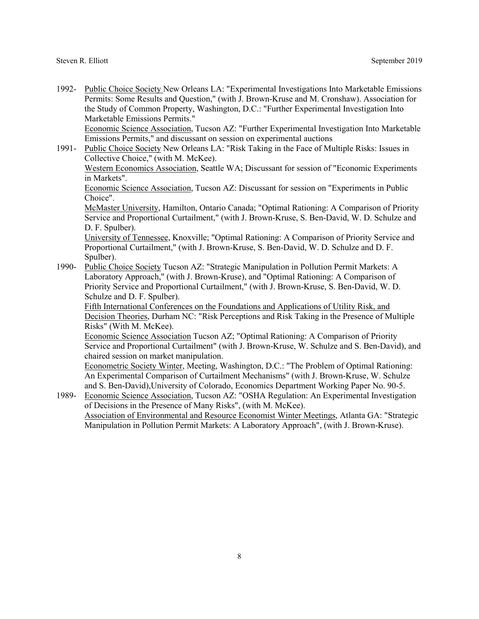1992- Public Choice Society New Orleans LA: "Experimental Investigations Into Marketable Emissions Permits: Some Results and Question," (with J. Brown-Kruse and M. Cronshaw). Association for the Study of Common Property, Washington, D.C.: "Further Experimental Investigation Into Marketable Emissions Permits." Economic Science Association, Tucson AZ: "Further Experimental Investigation Into Marketable

Emissions Permits," and discussant on session on experimental auctions

1991- Public Choice Society New Orleans LA: "Risk Taking in the Face of Multiple Risks: Issues in Collective Choice," (with M. McKee).

Western Economics Association, Seattle WA; Discussant for session of "Economic Experiments in Markets".

Economic Science Association, Tucson AZ: Discussant for session on "Experiments in Public Choice".

McMaster University, Hamilton, Ontario Canada; "Optimal Rationing: A Comparison of Priority Service and Proportional Curtailment," (with J. Brown-Kruse, S. Ben-David, W. D. Schulze and D. F. Spulber).

University of Tennessee, Knoxville; "Optimal Rationing: A Comparison of Priority Service and Proportional Curtailment," (with J. Brown-Kruse, S. Ben-David, W. D. Schulze and D. F. Spulber).

1990- Public Choice Society Tucson AZ: "Strategic Manipulation in Pollution Permit Markets: A Laboratory Approach," (with J. Brown-Kruse), and "Optimal Rationing: A Comparison of Priority Service and Proportional Curtailment," (with J. Brown-Kruse, S. Ben-David, W. D. Schulze and D. F. Spulber).

Fifth International Conferences on the Foundations and Applications of Utility Risk, and Decision Theories, Durham NC: "Risk Perceptions and Risk Taking in the Presence of Multiple Risks" (With M. McKee).

Economic Science Association Tucson AZ; "Optimal Rationing: A Comparison of Priority Service and Proportional Curtailment" (with J. Brown-Kruse, W. Schulze and S. Ben-David), and chaired session on market manipulation.

Econometric Society Winter, Meeting, Washington, D.C.: "The Problem of Optimal Rationing: An Experimental Comparison of Curtailment Mechanisms" (with J. Brown-Kruse, W. Schulze and S. Ben-David),University of Colorado, Economics Department Working Paper No. 90-5.

1989- Economic Science Association, Tucson AZ: "OSHA Regulation: An Experimental Investigation of Decisions in the Presence of Many Risks", (with M. McKee). Association of Environmental and Resource Economist Winter Meetings, Atlanta GA: "Strategic Manipulation in Pollution Permit Markets: A Laboratory Approach", (with J. Brown-Kruse).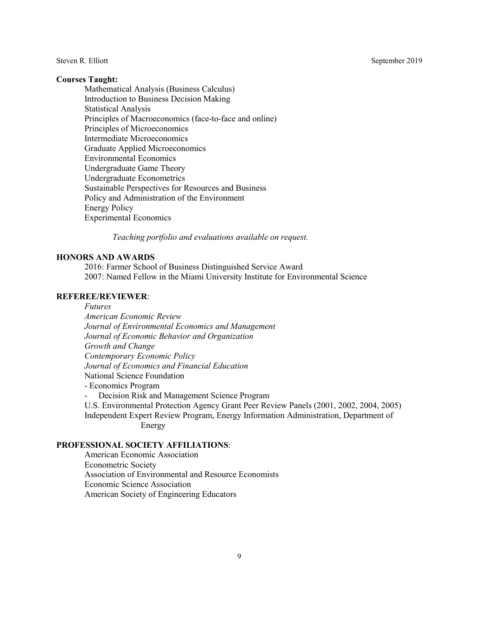### **Courses Taught:**

Mathematical Analysis (Business Calculus) Introduction to Business Decision Making Statistical Analysis Principles of Macroeconomics (face-to-face and online) Principles of Microeconomics Intermediate Microeconomics Graduate Applied Microeconomics Environmental Economics Undergraduate Game Theory Undergraduate Econometrics Sustainable Perspectives for Resources and Business Policy and Administration of the Environment Energy Policy Experimental Economics

*Teaching portfolio and evaluations available on request.*

### **HONORS AND AWARDS**

2016: Farmer School of Business Distinguished Service Award 2007: Named Fellow in the Miami University Institute for Environmental Science

### **REFEREE/REVIEWER**:

*Futures*

*American Economic Review Journal of Environmental Economics and Management Journal of Economic Behavior and Organization Growth and Change Contemporary Economic Policy Journal of Economics and Financial Education* National Science Foundation

- Economics Program

Decision Risk and Management Science Program

U.S. Environmental Protection Agency Grant Peer Review Panels (2001, 2002, 2004, 2005) Independent Expert Review Program, Energy Information Administration, Department of Energy

## **PROFESSIONAL SOCIETY AFFILIATIONS**:

American Economic Association Econometric Society Association of Environmental and Resource Economists Economic Science Association American Society of Engineering Educators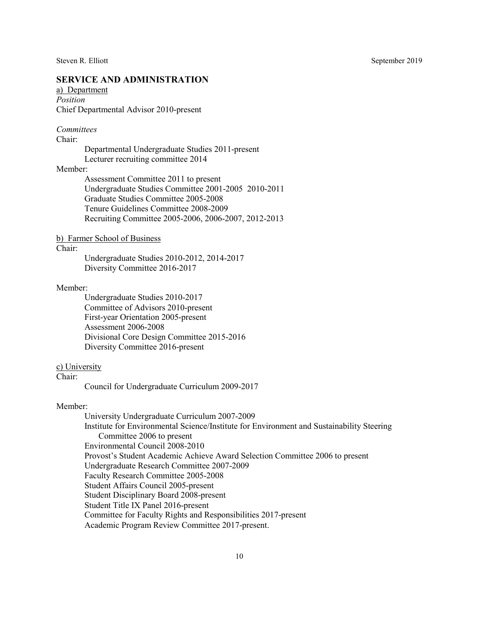# **SERVICE AND ADMINISTRATION**

a) Department *Position* Chief Departmental Advisor 2010-present

### *Committees*

Chair:

Departmental Undergraduate Studies 2011-present Lecturer recruiting committee 2014

#### Member:

Assessment Committee 2011 to present Undergraduate Studies Committee 2001-2005 2010-2011 Graduate Studies Committee 2005-2008 Tenure Guidelines Committee 2008-2009 Recruiting Committee 2005-2006, 2006-2007, 2012-2013

### b) Farmer School of Business

Chair:

Undergraduate Studies 2010-2012, 2014-2017 Diversity Committee 2016-2017

### Member:

Undergraduate Studies 2010-2017 Committee of Advisors 2010-present First-year Orientation 2005-present Assessment 2006-2008 Divisional Core Design Committee 2015-2016 Diversity Committee 2016-present

#### c) University

Chair:

Council for Undergraduate Curriculum 2009-2017

#### Member:

University Undergraduate Curriculum 2007-2009 Institute for Environmental Science/Institute for Environment and Sustainability Steering Committee 2006 to present Environmental Council 2008-2010 Provost's Student Academic Achieve Award Selection Committee 2006 to present Undergraduate Research Committee 2007-2009 Faculty Research Committee 2005-2008 Student Affairs Council 2005-present Student Disciplinary Board 2008-present Student Title IX Panel 2016-present Committee for Faculty Rights and Responsibilities 2017-present Academic Program Review Committee 2017-present.